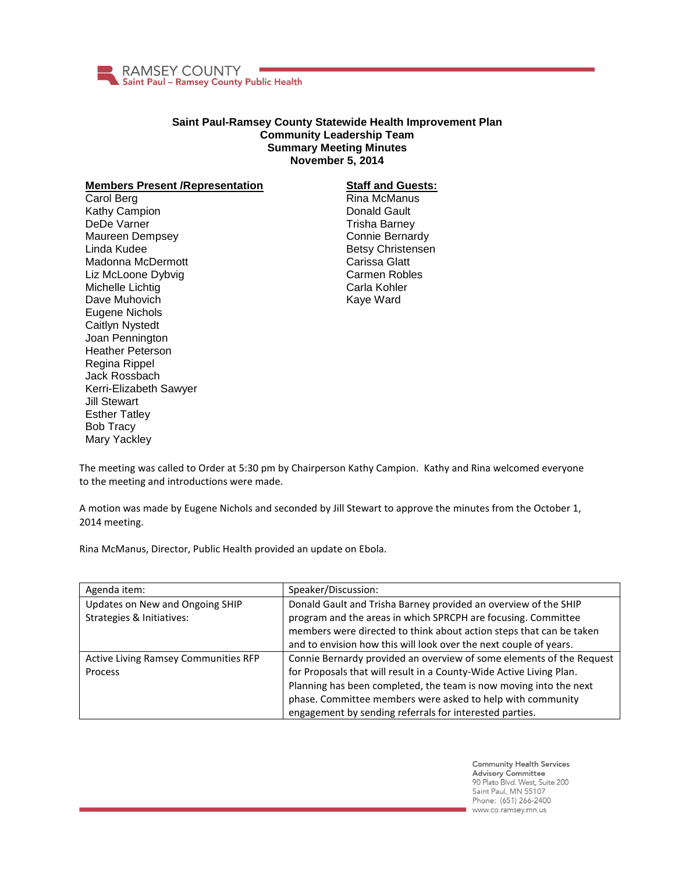

## **Saint Paul-Ramsey County Statewide Health Improvement Plan Community Leadership Team Summary Meeting Minutes November 5, 2014**

## **Members Present /Representation**

Carol Berg Kathy Campion DeDe Varner Maureen Dempsey Linda Kudee Madonna McDermott Liz McLoone Dybvig Michelle Lichtig Dave Muhovich Eugene Nichols Caitlyn Nystedt Joan Pennington Heather Peterson Regina Rippel Jack Rossbach Kerri-Elizabeth Sawyer Jill Stewart Esther Tatley Bob Tracy Mary Yackley

## **Staff and Guests:**

Rina McManus Donald Gault Trisha Barney Connie Bernardy Betsy Christensen Carissa Glatt Carmen Robles Carla Kohler Kaye Ward

The meeting was called to Order at 5:30 pm by Chairperson Kathy Campion. Kathy and Rina welcomed everyone to the meeting and introductions were made.

A motion was made by Eugene Nichols and seconded by Jill Stewart to approve the minutes from the October 1, 2014 meeting.

Rina McManus, Director, Public Health provided an update on Ebola.

| Agenda item:                                | Speaker/Discussion:                                                  |
|---------------------------------------------|----------------------------------------------------------------------|
| Updates on New and Ongoing SHIP             | Donald Gault and Trisha Barney provided an overview of the SHIP      |
| Strategies & Initiatives:                   | program and the areas in which SPRCPH are focusing. Committee        |
|                                             | members were directed to think about action steps that can be taken  |
|                                             | and to envision how this will look over the next couple of years.    |
| <b>Active Living Ramsey Communities RFP</b> | Connie Bernardy provided an overview of some elements of the Request |
| <b>Process</b>                              | for Proposals that will result in a County-Wide Active Living Plan.  |
|                                             | Planning has been completed, the team is now moving into the next    |
|                                             | phase. Committee members were asked to help with community           |
|                                             | engagement by sending referrals for interested parties.              |

**Community Health Services Advisory Committee** 90 Plato Blvd. West, Suite 200 Saint Paul, MN 55107 Phone: (651) 266-2400 www.co.ramsey.mn.us